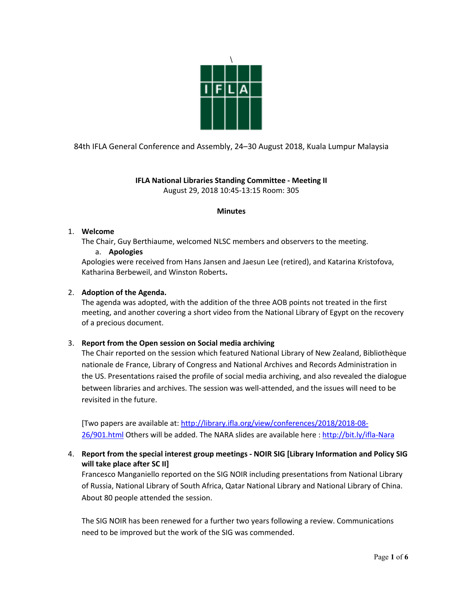

84th IFLA General Conference and Assembly, 24–30 August 2018, Kuala Lumpur Malaysia

# **IFLA National Libraries Standing Committee - Meeting II** August 29, 2018 10:45-13:15 Room: 305

# **Minutes**

### 1. **Welcome**

The Chair, Guy Berthiaume, welcomed NLSC members and observers to the meeting.

a. **Apologies**

Apologies were received from Hans Jansen and Jaesun Lee (retired), and Katarina Kristofova, Katharina Berbeweil, and Winston Roberts**.**

# 2. **Adoption of the Agenda.**

The agenda was adopted, with the addition of the three AOB points not treated in the first meeting, and another covering a short video from the National Library of Egypt on the recovery of a precious document.

# 3. **Report from the Open session on Social media archiving**

The Chair reported on the session which featured National Library of New Zealand, Bibliothèque nationale de France, Library of Congress and National Archives and Records Administration in the US. Presentations raised the profile of social media archiving, and also revealed the dialogue between libraries and archives. The session was well-attended, and the issues will need to be revisited in the future.

[Two papers are available at: http://library.ifla.org/view/conferences/2018/2018-08- 26/901.html Others will be added. The NARA slides are available here : http://bit.ly/ifla-Nara

# 4. **Report from the special interest group meetings - NOIR SIG [Library Information and Policy SIG will take place after SC II]**

Francesco Manganiello reported on the SIG NOIR including presentations from National Library of Russia, National Library of South Africa, Qatar National Library and National Library of China. About 80 people attended the session.

The SIG NOIR has been renewed for a further two years following a review. Communications need to be improved but the work of the SIG was commended.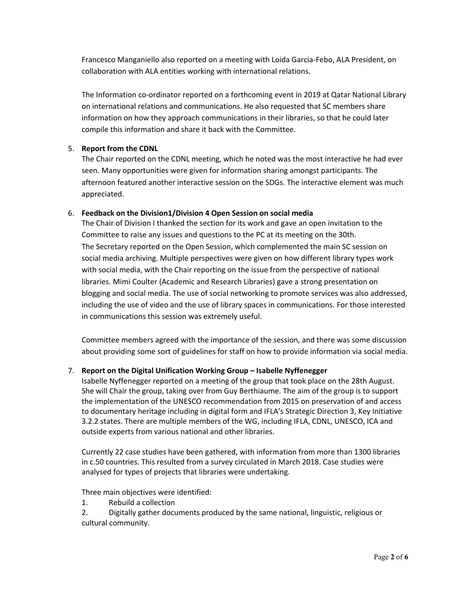Francesco Manganiello also reported on a meeting with Loida Garcia-Febo, ALA President, on collaboration with ALA entities working with international relations.

The Information co-ordinator reported on a forthcoming event in 2019 at Qatar National Library on international relations and communications. He also requested that SC members share information on how they approach communications in their libraries, so that he could later compile this information and share it back with the Committee.

# 5. **Report from the CDNL**

The Chair reported on the CDNL meeting, which he noted was the most interactive he had ever seen. Many opportunities were given for information sharing amongst participants. The afternoon featured another interactive session on the SDGs. The interactive element was much appreciated.

#### 6. **Feedback on the Division1/Division 4 Open Session on social media**

The Chair of Division I thanked the section for its work and gave an open invitation to the Committee to raise any issues and questions to the PC at its meeting on the 30th. The Secretary reported on the Open Session, which complemented the main SC session on social media archiving. Multiple perspectives were given on how different library types work with social media, with the Chair reporting on the issue from the perspective of national libraries. Mimi Coulter (Academic and Research Libraries) gave a strong presentation on blogging and social media. The use of social networking to promote services was also addressed, including the use of video and the use of library spaces in communications. For those interested in communications this session was extremely useful.

Committee members agreed with the importance of the session, and there was some discussion about providing some sort of guidelines for staff on how to provide information via social media.

#### 7. **Report on the Digital Unification Working Group – Isabelle Nyffenegger**

Isabelle Nyffenegger reported on a meeting of the group that took place on the 28th August. She will Chair the group, taking over from Guy Berthiaume. The aim of the group is to support the implementation of the UNESCO recommendation from 2015 on preservation of and access to documentary heritage including in digital form and IFLA's Strategic Direction 3, Key Initiative 3.2.2 states. There are multiple members of the WG, including IFLA, CDNL, UNESCO, ICA and outside experts from various national and other libraries.

Currently 22 case studies have been gathered, with information from more than 1300 libraries in c.50 countries. This resulted from a survey circulated in March 2018. Case studies were analysed for types of projects that libraries were undertaking.

Three main objectives were identified:

1. Rebuild a collection

2. Digitally gather documents produced by the same national, linguistic, religious or cultural community.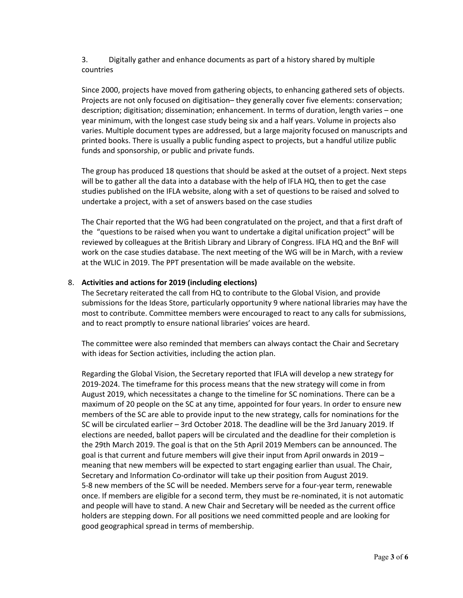3. Digitally gather and enhance documents as part of a history shared by multiple countries

Since 2000, projects have moved from gathering objects, to enhancing gathered sets of objects. Projects are not only focused on digitisation– they generally cover five elements: conservation; description; digitisation; dissemination; enhancement. In terms of duration, length varies – one year minimum, with the longest case study being six and a half years. Volume in projects also varies. Multiple document types are addressed, but a large majority focused on manuscripts and printed books. There is usually a public funding aspect to projects, but a handful utilize public funds and sponsorship, or public and private funds.

The group has produced 18 questions that should be asked at the outset of a project. Next steps will be to gather all the data into a database with the help of IFLA HQ, then to get the case studies published on the IFLA website, along with a set of questions to be raised and solved to undertake a project, with a set of answers based on the case studies

The Chair reported that the WG had been congratulated on the project, and that a first draft of the "questions to be raised when you want to undertake a digital unification project" will be reviewed by colleagues at the British Library and Library of Congress. IFLA HQ and the BnF will work on the case studies database. The next meeting of the WG will be in March, with a review at the WLIC in 2019. The PPT presentation will be made available on the website.

# 8. **Activities and actions for 2019 (including elections)**

The Secretary reiterated the call from HQ to contribute to the Global Vision, and provide submissions for the Ideas Store, particularly opportunity 9 where national libraries may have the most to contribute. Committee members were encouraged to react to any calls for submissions, and to react promptly to ensure national libraries' voices are heard.

The committee were also reminded that members can always contact the Chair and Secretary with ideas for Section activities, including the action plan.

Regarding the Global Vision, the Secretary reported that IFLA will develop a new strategy for 2019-2024. The timeframe for this process means that the new strategy will come in from August 2019, which necessitates a change to the timeline for SC nominations. There can be a maximum of 20 people on the SC at any time, appointed for four years. In order to ensure new members of the SC are able to provide input to the new strategy, calls for nominations for the SC will be circulated earlier – 3rd October 2018. The deadline will be the 3rd January 2019. If elections are needed, ballot papers will be circulated and the deadline for their completion is the 29th March 2019. The goal is that on the 5th April 2019 Members can be announced. The goal is that current and future members will give their input from April onwards in 2019 – meaning that new members will be expected to start engaging earlier than usual. The Chair, Secretary and Information Co-ordinator will take up their position from August 2019. 5-8 new members of the SC will be needed. Members serve for a four-year term, renewable once. If members are eligible for a second term, they must be re-nominated, it is not automatic and people will have to stand. A new Chair and Secretary will be needed as the current office holders are stepping down. For all positions we need committed people and are looking for good geographical spread in terms of membership.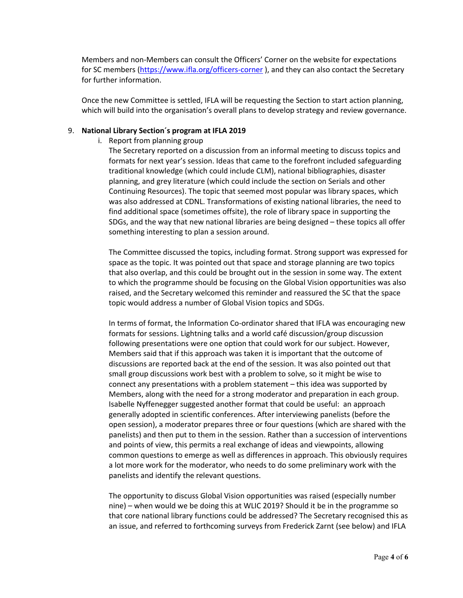Members and non-Members can consult the Officers' Corner on the website for expectations for SC members (https://www.ifla.org/officers-corner), and they can also contact the Secretary for further information.

Once the new Committee is settled, IFLA will be requesting the Section to start action planning, which will build into the organisation's overall plans to develop strategy and review governance.

### 9. **National Library Section´s program at IFLA 2019**

i. Report from planning group

The Secretary reported on a discussion from an informal meeting to discuss topics and formats for next year's session. Ideas that came to the forefront included safeguarding traditional knowledge (which could include CLM), national bibliographies, disaster planning, and grey literature (which could include the section on Serials and other Continuing Resources). The topic that seemed most popular was library spaces, which was also addressed at CDNL. Transformations of existing national libraries, the need to find additional space (sometimes offsite), the role of library space in supporting the SDGs, and the way that new national libraries are being designed – these topics all offer something interesting to plan a session around.

The Committee discussed the topics, including format. Strong support was expressed for space as the topic. It was pointed out that space and storage planning are two topics that also overlap, and this could be brought out in the session in some way. The extent to which the programme should be focusing on the Global Vision opportunities was also raised, and the Secretary welcomed this reminder and reassured the SC that the space topic would address a number of Global Vision topics and SDGs.

In terms of format, the Information Co-ordinator shared that IFLA was encouraging new formats for sessions. Lightning talks and a world café discussion/group discussion following presentations were one option that could work for our subject. However, Members said that if this approach was taken it is important that the outcome of discussions are reported back at the end of the session. It was also pointed out that small group discussions work best with a problem to solve, so it might be wise to connect any presentations with a problem statement – this idea was supported by Members, along with the need for a strong moderator and preparation in each group. Isabelle Nyffenegger suggested another format that could be useful: an approach generally adopted in scientific conferences. After interviewing panelists (before the open session), a moderator prepares three or four questions (which are shared with the panelists) and then put to them in the session. Rather than a succession of interventions and points of view, this permits a real exchange of ideas and viewpoints, allowing common questions to emerge as well as differences in approach. This obviously requires a lot more work for the moderator, who needs to do some preliminary work with the panelists and identify the relevant questions.

The opportunity to discuss Global Vision opportunities was raised (especially number nine) – when would we be doing this at WLIC 2019? Should it be in the programme so that core national library functions could be addressed? The Secretary recognised this as an issue, and referred to forthcoming surveys from Frederick Zarnt (see below) and IFLA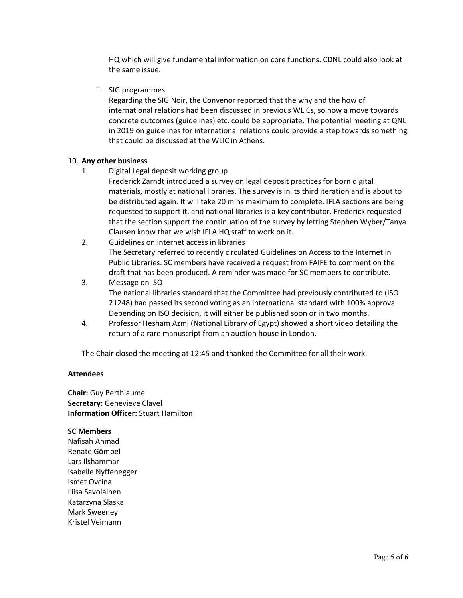HQ which will give fundamental information on core functions. CDNL could also look at the same issue.

ii. SIG programmes

Regarding the SIG Noir, the Convenor reported that the why and the how of international relations had been discussed in previous WLICs, so now a move towards concrete outcomes (guidelines) etc. could be appropriate. The potential meeting at QNL in 2019 on guidelines for international relations could provide a step towards something that could be discussed at the WLIC in Athens.

### 10. **Any other business**

1. Digital Legal deposit working group

Frederick Zarndt introduced a survey on legal deposit practices for born digital materials, mostly at national libraries. The survey is in its third iteration and is about to be distributed again. It will take 20 mins maximum to complete. IFLA sections are being requested to support it, and national libraries is a key contributor. Frederick requested that the section support the continuation of the survey by letting Stephen Wyber/Tanya Clausen know that we wish IFLA HQ staff to work on it.

- 2. Guidelines on internet access in libraries The Secretary referred to recently circulated Guidelines on Access to the Internet in Public Libraries. SC members have received a request from FAIFE to comment on the draft that has been produced. A reminder was made for SC members to contribute.
- 3. Message on ISO The national libraries standard that the Committee had previously contributed to (ISO 21248) had passed its second voting as an international standard with 100% approval. Depending on ISO decision, it will either be published soon or in two months.
- 4. Professor Hesham Azmi (National Library of Egypt) showed a short video detailing the return of a rare manuscript from an auction house in London.

The Chair closed the meeting at 12:45 and thanked the Committee for all their work.

#### **Attendees**

**Chair:** Guy Berthiaume **Secretary:** Genevieve Clavel **Information Officer:** Stuart Hamilton

#### **SC Members**

Nafisah Ahmad Renate Gömpel Lars Ilshammar Isabelle Nyffenegger Ismet Ovcina Liisa Savolainen Katarzyna Slaska Mark Sweeney Kristel Veimann